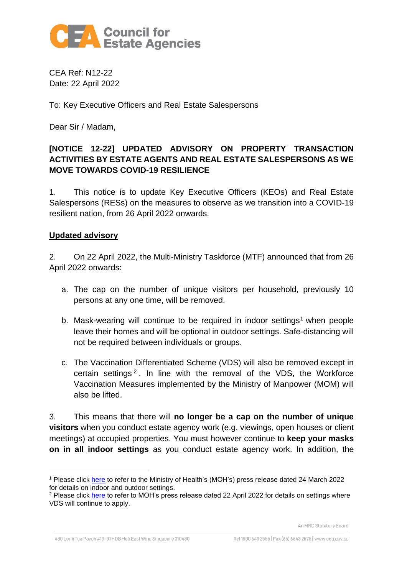

CEA Ref: N12-22 Date: 22 April 2022

To: Key Executive Officers and Real Estate Salespersons

Dear Sir / Madam,

# **[NOTICE 12-22] UPDATED ADVISORY ON PROPERTY TRANSACTION ACTIVITIES BY ESTATE AGENTS AND REAL ESTATE SALESPERSONS AS WE MOVE TOWARDS COVID-19 RESILIENCE**

1. This notice is to update Key Executive Officers (KEOs) and Real Estate Salespersons (RESs) on the measures to observe as we transition into a COVID-19 resilient nation, from 26 April 2022 onwards.

## **Updated advisory**

2. On 22 April 2022, the Multi-Ministry Taskforce (MTF) announced that from 26 April 2022 onwards:

- a. The cap on the number of unique visitors per household, previously 10 persons at any one time, will be removed.
- b. Mask-wearing will continue to be required in indoor settings<sup>1</sup> when people leave their homes and will be optional in outdoor settings. Safe-distancing will not be required between individuals or groups.
- c. The Vaccination Differentiated Scheme (VDS) will also be removed except in certain settings 2 . In line with the removal of the VDS, the Workforce Vaccination Measures implemented by the Ministry of Manpower (MOM) will also be lifted.

3. This means that there will **no longer be a cap on the number of unique visitors** when you conduct estate agency work (e.g. viewings, open houses or client meetings) at occupied properties. You must however continue to **keep your masks on in all indoor settings** as you conduct estate agency work. In addition, the

An MND Statutory Board

480 Lor 6 Toa Payoh #13-01 HDB Hub East Wing Singapore 310480

<sup>&</sup>lt;sup>1</sup> Please click [here](https://www.moh.gov.sg/news-highlights/details/easing-of-community-smms-and-border-measures) to refer to the Ministry of Health's (MOH's) press release dated 24 March 2022 for details on indoor and outdoor settings.

<sup>&</sup>lt;sup>2</sup> Please click [here](https://www.moh.gov.sg/news-highlights/details/further-easing-of-community-and-border-measures) to refer to MOH's press release dated 22 April 2022 for details on settings where VDS will continue to apply.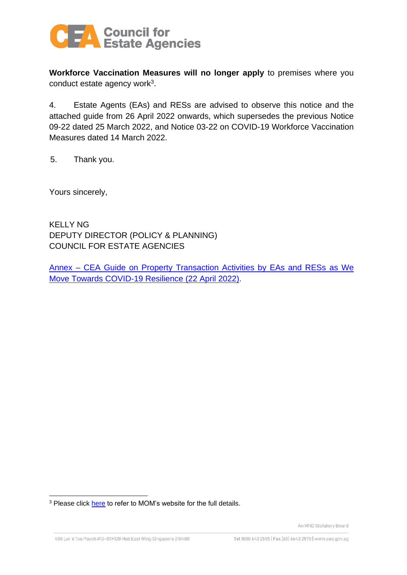

**Workforce Vaccination Measures will no longer apply** to premises where you conduct estate agency work<sup>3</sup>.

4. Estate Agents (EAs) and RESs are advised to observe this notice and the attached guide from 26 April 2022 onwards, which supersedes the previous Notice 09-22 dated 25 March 2022, and Notice 03-22 on COVID-19 Workforce Vaccination Measures dated 14 March 2022.

5. Thank you.

Yours sincerely,

KELLY NG DEPUTY DIRECTOR (POLICY & PLANNING) COUNCIL FOR ESTATE AGENCIES

Annex – [CEA Guide on Property Transaction Activities by EAs and RESs as We](#page-2-0)  [Move Towards COVID-19 Resilience](#page-2-0) (22 April 2022).

<sup>&</sup>lt;sup>3</sup> Please click [here](https://www.mom.gov.sg/covid-19/requirements-for-safe-management-measures) to refer to MOM's website for the full details.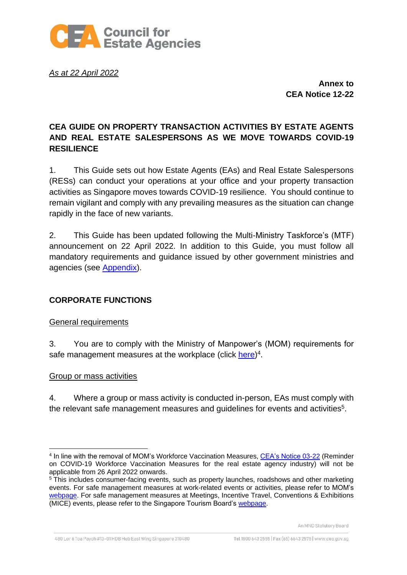

<span id="page-2-0"></span>*As at 22 April 2022*

**Annex to CEA Notice 12-22**

# **CEA GUIDE ON PROPERTY TRANSACTION ACTIVITIES BY ESTATE AGENTS AND REAL ESTATE SALESPERSONS AS WE MOVE TOWARDS COVID-19 RESILIENCE**

1. This Guide sets out how Estate Agents (EAs) and Real Estate Salespersons (RESs) can conduct your operations at your office and your property transaction activities as Singapore moves towards COVID-19 resilience. You should continue to remain vigilant and comply with any prevailing measures as the situation can change rapidly in the face of new variants.

2. This Guide has been updated following the Multi-Ministry Taskforce's (MTF) announcement on 22 April 2022. In addition to this Guide, you must follow all mandatory requirements and guidance issued by other government ministries and agencies (see [Appendix\)](#page-7-0).

# **CORPORATE FUNCTIONS**

## General requirements

3. You are to comply with the Ministry of Manpower's (MOM) requirements for safe management measures at the workplace (click [here\)](https://www.mom.gov.sg/covid-19/requirements-for-safe-management-measures)<sup>4</sup>.

## Group or mass activities

4. Where a group or mass activity is conducted in-person, EAs must comply with the relevant safe management measures and guidelines for events and activities $5$ .

<sup>&</sup>lt;sup>4</sup> In line with the removal of MOM's Workforce Vaccination Measures, [CEA's Notice 03-22](https://www.cea.gov.sg/docs/default-source/default-document-library/covid/n03-22-reminder-on-covid-19-workforce-vaccination-measures-for-the-real-estate-agency-industry.pdf) (Reminder on COVID-19 Workforce Vaccination Measures for the real estate agency industry) will not be applicable from 26 April 2022 onwards.

<sup>&</sup>lt;sup>5</sup> This includes consumer-facing events, such as property launches, roadshows and other marketing events. For safe management measures at work-related events or activities, please refer to MOM's [webpage.](https://www.mom.gov.sg/covid-19/requirements-for-safe-management-measures) For safe management measures at Meetings, Incentive Travel, Conventions & Exhibitions (MICE) events, please refer to the Singapore Tourism Board's [webpage.](https://www.stb.gov.sg/content/stb/en/home-pages/advisory-for-MICE.html#MICE)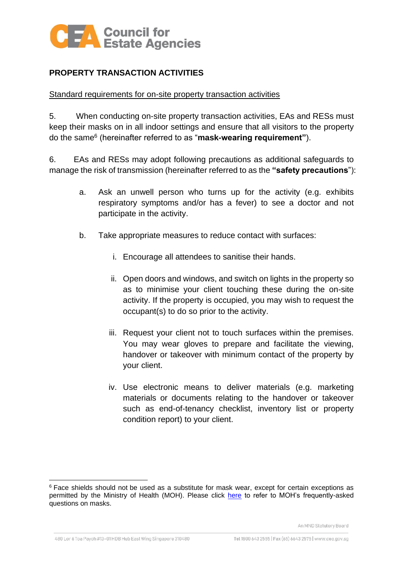

# **PROPERTY TRANSACTION ACTIVITIES**

#### Standard requirements for on-site property transaction activities

5. When conducting on-site property transaction activities, EAs and RESs must keep their masks on in all indoor settings and ensure that all visitors to the property do the same<sup>6</sup> (hereinafter referred to as "**mask-wearing requirement"**).

6. EAs and RESs may adopt following precautions as additional safeguards to manage the risk of transmission (hereinafter referred to as the **"safety precautions**"):

- a. Ask an unwell person who turns up for the activity (e.g. exhibits respiratory symptoms and/or has a fever) to see a doctor and not participate in the activity.
- b. Take appropriate measures to reduce contact with surfaces:
	- i. Encourage all attendees to sanitise their hands.
	- ii. Open doors and windows, and switch on lights in the property so as to minimise your client touching these during the on-site activity. If the property is occupied, you may wish to request the occupant(s) to do so prior to the activity.
	- iii. Request your client not to touch surfaces within the premises. You may wear gloves to prepare and facilitate the viewing, handover or takeover with minimum contact of the property by your client.
	- iv. Use electronic means to deliver materials (e.g. marketing materials or documents relating to the handover or takeover such as end-of-tenancy checklist, inventory list or property condition report) to your client.

<sup>&</sup>lt;sup>6</sup> Face shields should not be used as a substitute for mask wear, except for certain exceptions as permitted by the Ministry of Health (MOH). Please click [here](https://www.moh.gov.sg/covid-19/general/faqs---masks-and-personal-protective-equipment-(ppe)) to refer to MOH's frequently-asked questions on masks.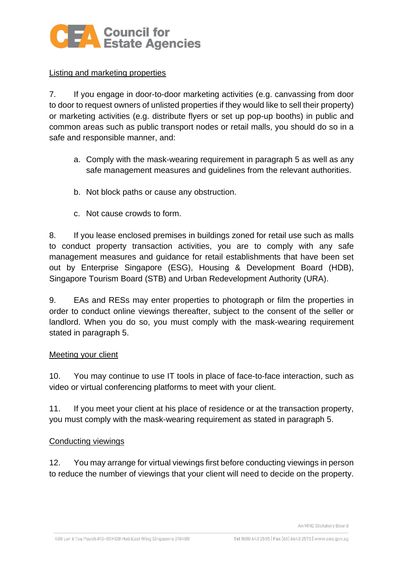

# Listing and marketing properties

7. If you engage in door-to-door marketing activities (e.g. canvassing from door to door to request owners of unlisted properties if they would like to sell their property) or marketing activities (e.g. distribute flyers or set up pop-up booths) in public and common areas such as public transport nodes or retail malls, you should do so in a safe and responsible manner, and:

- a. Comply with the mask-wearing requirement in paragraph 5 as well as any safe management measures and guidelines from the relevant authorities.
- b. Not block paths or cause any obstruction.
- c. Not cause crowds to form.

8. If you lease enclosed premises in buildings zoned for retail use such as malls to conduct property transaction activities, you are to comply with any safe management measures and guidance for retail establishments that have been set out by Enterprise Singapore (ESG), Housing & Development Board (HDB), Singapore Tourism Board (STB) and Urban Redevelopment Authority (URA).

9. EAs and RESs may enter properties to photograph or film the properties in order to conduct online viewings thereafter, subject to the consent of the seller or landlord. When you do so, you must comply with the mask-wearing requirement stated in paragraph 5.

## Meeting your client

10. You may continue to use IT tools in place of face-to-face interaction, such as video or virtual conferencing platforms to meet with your client.

11. If you meet your client at his place of residence or at the transaction property, you must comply with the mask-wearing requirement as stated in paragraph 5.

## Conducting viewings

12. You may arrange for virtual viewings first before conducting viewings in person to reduce the number of viewings that your client will need to decide on the property.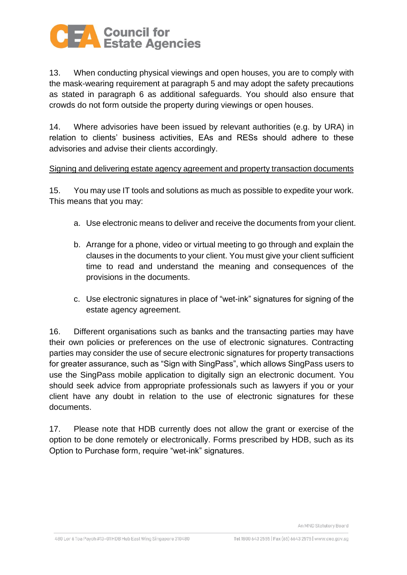

13. When conducting physical viewings and open houses, you are to comply with the mask-wearing requirement at paragraph 5 and may adopt the safety precautions as stated in paragraph 6 as additional safeguards. You should also ensure that crowds do not form outside the property during viewings or open houses.

14. Where advisories have been issued by relevant authorities (e.g. by URA) in relation to clients' business activities, EAs and RESs should adhere to these advisories and advise their clients accordingly.

#### Signing and delivering estate agency agreement and property transaction documents

15. You may use IT tools and solutions as much as possible to expedite your work. This means that you may:

- a. Use electronic means to deliver and receive the documents from your client.
- b. Arrange for a phone, video or virtual meeting to go through and explain the clauses in the documents to your client. You must give your client sufficient time to read and understand the meaning and consequences of the provisions in the documents.
- c. Use electronic signatures in place of "wet-ink" signatures for signing of the estate agency agreement.

16. Different organisations such as banks and the transacting parties may have their own policies or preferences on the use of electronic signatures. Contracting parties may consider the use of secure electronic signatures for property transactions for greater assurance, such as "Sign with SingPass", which allows SingPass users to use the SingPass mobile application to digitally sign an electronic document. You should seek advice from appropriate professionals such as lawyers if you or your client have any doubt in relation to the use of electronic signatures for these documents.

17. Please note that HDB currently does not allow the grant or exercise of the option to be done remotely or electronically. Forms prescribed by HDB, such as its Option to Purchase form, require "wet-ink" signatures.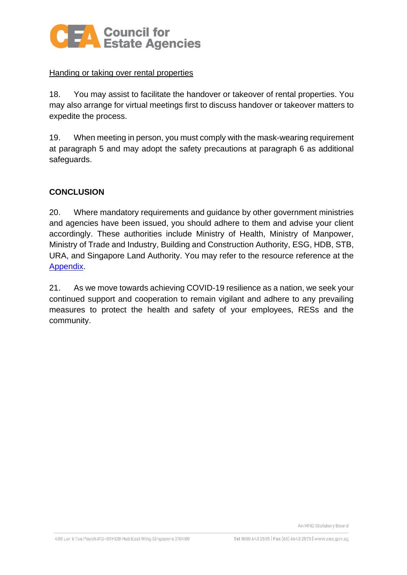

# Handing or taking over rental properties

18. You may assist to facilitate the handover or takeover of rental properties. You may also arrange for virtual meetings first to discuss handover or takeover matters to expedite the process.

19. When meeting in person, you must comply with the mask-wearing requirement at paragraph 5 and may adopt the safety precautions at paragraph 6 as additional safeguards.

# **CONCLUSION**

20. Where mandatory requirements and guidance by other government ministries and agencies have been issued, you should adhere to them and advise your client accordingly. These authorities include Ministry of Health, Ministry of Manpower, Ministry of Trade and Industry, Building and Construction Authority, ESG, HDB, STB, URA, and Singapore Land Authority. You may refer to the resource reference at the [Appendix.](#page-7-0)

21. As we move towards achieving COVID-19 resilience as a nation, we seek your continued support and cooperation to remain vigilant and adhere to any prevailing measures to protect the health and safety of your employees, RESs and the community.